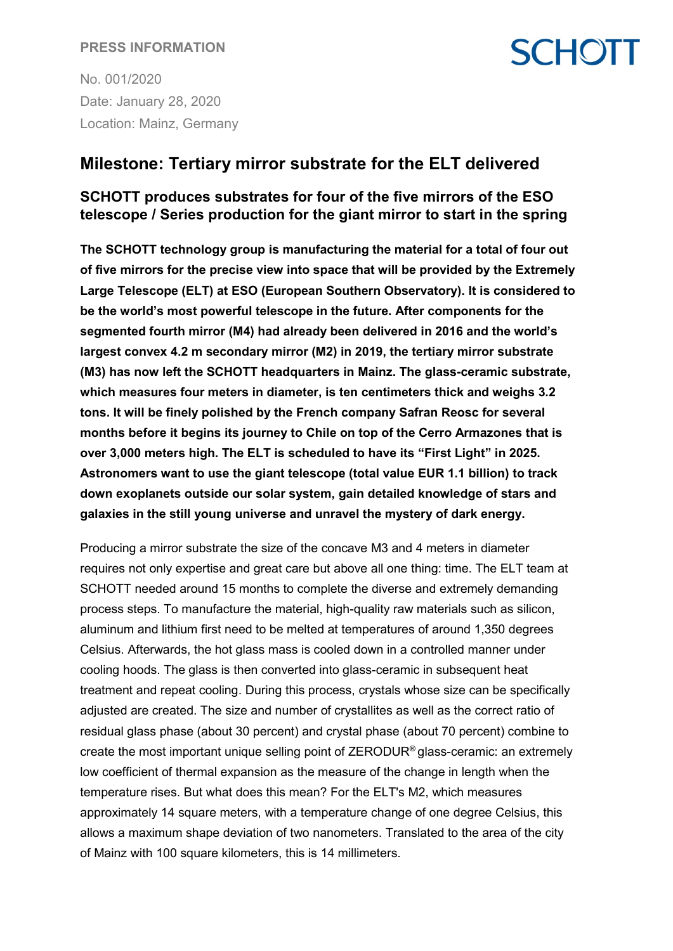### **PRESS INFORMATION**

No. 001/2020 Date: January 28, 2020 Location: Mainz, Germany

## **Milestone: Tertiary mirror substrate for the ELT delivered**

### **SCHOTT produces substrates for four of the five mirrors of the ESO telescope / Series production for the giant mirror to start in the spring**

**SCHOTT** 

**The SCHOTT technology group is manufacturing the material for a total of four out of five mirrors for the precise view into space that will be provided by the Extremely Large Telescope (ELT) at ESO (European Southern Observatory). It is considered to be the world's most powerful telescope in the future. After components for the segmented fourth mirror (M4) had already been delivered in 2016 and the world's largest convex 4.2 m secondary mirror (M2) in 2019, the tertiary mirror substrate (M3) has now left the SCHOTT headquarters in Mainz. The glass-ceramic substrate, which measures four meters in diameter, is ten centimeters thick and weighs 3.2 tons. It will be finely polished by the French company Safran Reosc for several months before it begins its journey to Chile on top of the Cerro Armazones that is over 3,000 meters high. The ELT is scheduled to have its "First Light" in 2025. Astronomers want to use the giant telescope (total value EUR 1.1 billion) to track down exoplanets outside our solar system, gain detailed knowledge of stars and galaxies in the still young universe and unravel the mystery of dark energy.**

Producing a mirror substrate the size of the concave M3 and 4 meters in diameter requires not only expertise and great care but above all one thing: time. The ELT team at SCHOTT needed around 15 months to complete the diverse and extremely demanding process steps. To manufacture the material, high-quality raw materials such as silicon, aluminum and lithium first need to be melted at temperatures of around 1,350 degrees Celsius. Afterwards, the hot glass mass is cooled down in a controlled manner under cooling hoods. The glass is then converted into glass-ceramic in subsequent heat treatment and repeat cooling. During this process, crystals whose size can be specifically adjusted are created. The size and number of crystallites as well as the correct ratio of residual glass phase (about 30 percent) and crystal phase (about 70 percent) combine to create the most important unique selling point of ZERODUR® glass-ceramic: an extremely low coefficient of thermal expansion as the measure of the change in length when the temperature rises. But what does this mean? For the ELT's M2, which measures approximately 14 square meters, with a temperature change of one degree Celsius, this allows a maximum shape deviation of two nanometers. Translated to the area of the city of Mainz with 100 square kilometers, this is 14 millimeters.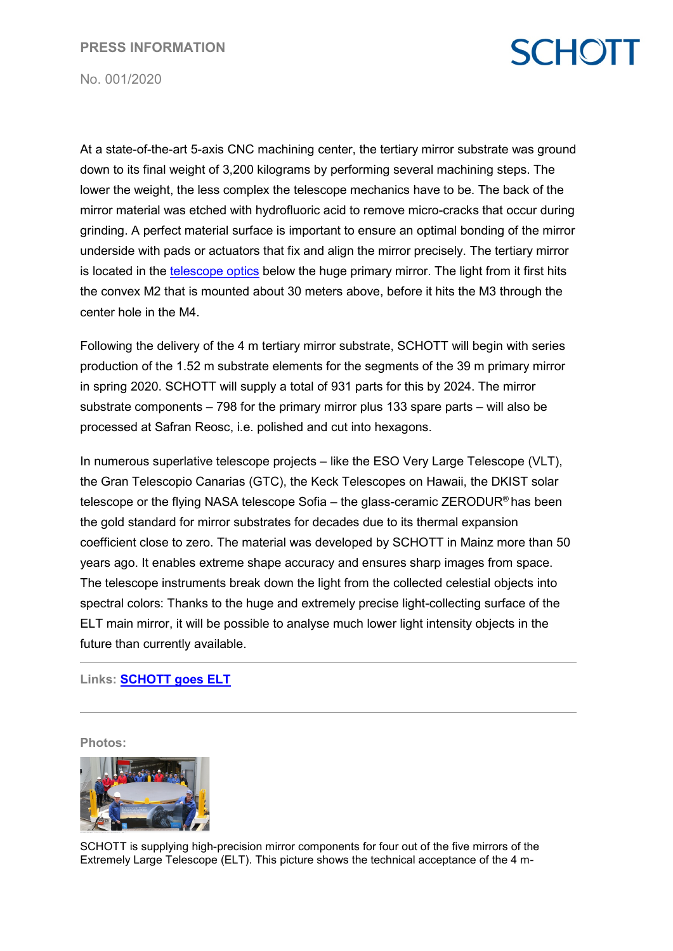# **SCHOTT**

No. 001/2020

At a state-of-the-art 5-axis CNC machining center, the tertiary mirror substrate was ground down to its final weight of 3,200 kilograms by performing several machining steps. The lower the weight, the less complex the telescope mechanics have to be. The back of the mirror material was etched with hydrofluoric acid to remove micro-cracks that occur during grinding. A perfect material surface is important to ensure an optimal bonding of the mirror underside with pads or actuators that fix and align the mirror precisely. The tertiary mirror is located in the [telescope optics](https://www.eso.org/public/germany/images/eso1704a/) below the huge primary mirror. The light from it first hits the convex M2 that is mounted about 30 meters above, before it hits the M3 through the center hole in the M4.

Following the delivery of the 4 m tertiary mirror substrate, SCHOTT will begin with series production of the 1.52 m substrate elements for the segments of the 39 m primary mirror in spring 2020. SCHOTT will supply a total of 931 parts for this by 2024. The mirror substrate components – 798 for the primary mirror plus 133 spare parts – will also be processed at Safran Reosc, i.e. polished and cut into hexagons.

In numerous superlative telescope projects – like the ESO Very Large Telescope (VLT), the Gran Telescopio Canarias (GTC), the Keck Telescopes on Hawaii, the DKIST solar telescope or the flying NASA telescope Sofia – the glass-ceramic ZERODUR® has been the gold standard for mirror substrates for decades due to its thermal expansion coefficient close to zero. The material was developed by SCHOTT in Mainz more than 50 years ago. It enables extreme shape accuracy and ensures sharp images from space. The telescope instruments break down the light from the collected celestial objects into spectral colors: Thanks to the huge and extremely precise light-collecting surface of the ELT main mirror, it will be possible to analyse much lower light intensity objects in the future than currently available.

### **Links: [SCHOTT goes ELT](https://www.schott.com/advanced_optics/english/products/zerodur-extremely-low-expansion-glass-ceramic/schott-and-the-elt/overview.html)**

**Photos:**



SCHOTT is supplying high-precision mirror components for four out of the five mirrors of the Extremely Large Telescope (ELT). This picture shows the technical acceptance of the 4 m-